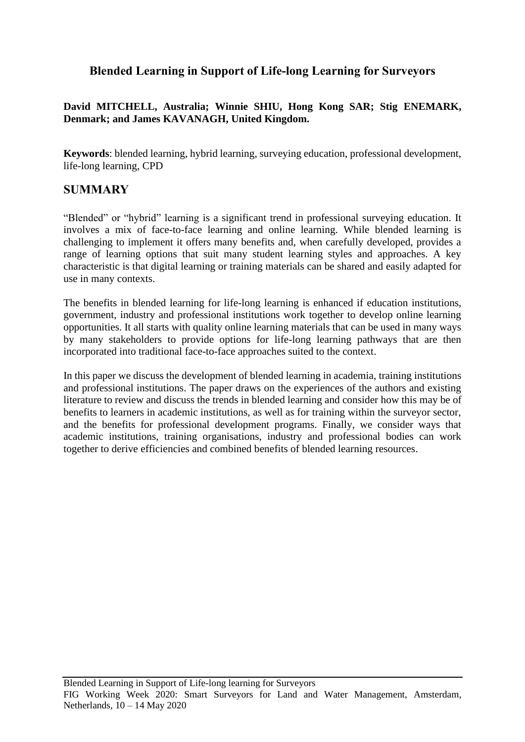# **Blended Learning in Support of Life-long Learning for Surveyors**

## **David MITCHELL, Australia; Winnie SHIU, Hong Kong SAR; Stig ENEMARK, Denmark; and James KAVANAGH, United Kingdom.**

**Keywords**: blended learning, hybrid learning, surveying education, professional development, life-long learning, CPD

# **SUMMARY**

"Blended" or "hybrid" learning is a significant trend in professional surveying education. It involves a mix of face-to-face learning and online learning. While blended learning is challenging to implement it offers many benefits and, when carefully developed, provides a range of learning options that suit many student learning styles and approaches. A key characteristic is that digital learning or training materials can be shared and easily adapted for use in many contexts.

The benefits in blended learning for life-long learning is enhanced if education institutions, government, industry and professional institutions work together to develop online learning opportunities. It all starts with quality online learning materials that can be used in many ways by many stakeholders to provide options for life-long learning pathways that are then incorporated into traditional face-to-face approaches suited to the context.

In this paper we discuss the development of blended learning in academia, training institutions and professional institutions. The paper draws on the experiences of the authors and existing literature to review and discuss the trends in blended learning and consider how this may be of benefits to learners in academic institutions, as well as for training within the surveyor sector, and the benefits for professional development programs. Finally, we consider ways that academic institutions, training organisations, industry and professional bodies can work together to derive efficiencies and combined benefits of blended learning resources.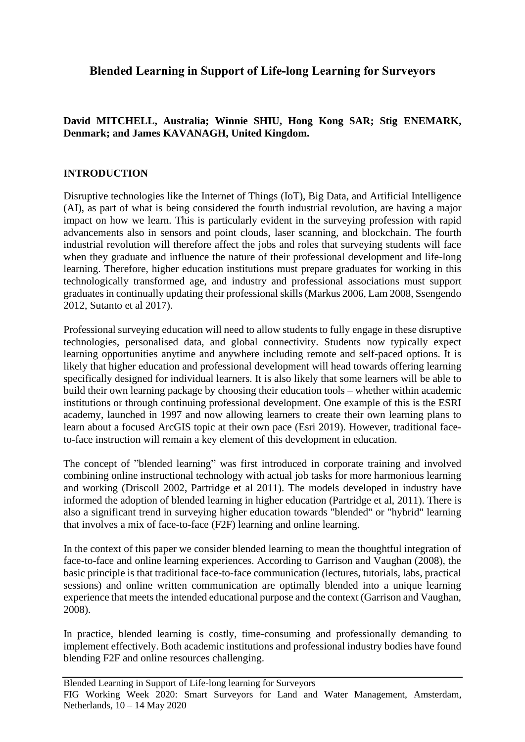# **Blended Learning in Support of Life-long Learning for Surveyors**

# **David MITCHELL, Australia; Winnie SHIU, Hong Kong SAR; Stig ENEMARK, Denmark; and James KAVANAGH, United Kingdom.**

# **INTRODUCTION**

Disruptive technologies like the Internet of Things (IoT), Big Data, and Artificial Intelligence (AI), as part of what is being considered the fourth industrial revolution, are having a major impact on how we learn. This is particularly evident in the surveying profession with rapid advancements also in sensors and point clouds, laser scanning, and blockchain. The fourth industrial revolution will therefore affect the jobs and roles that surveying students will face when they graduate and influence the nature of their professional development and life-long learning. Therefore, higher education institutions must prepare graduates for working in this technologically transformed age, and industry and professional associations must support graduates in continually updating their professional skills (Markus 2006, Lam 2008, Ssengendo 2012, Sutanto et al 2017).

Professional surveying education will need to allow students to fully engage in these disruptive technologies, personalised data, and global connectivity. Students now typically expect learning opportunities anytime and anywhere including remote and self-paced options. It is likely that higher education and professional development will head towards offering learning specifically designed for individual learners. It is also likely that some learners will be able to build their own learning package by choosing their education tools – whether within academic institutions or through continuing professional development. One example of this is the ESRI academy, launched in 1997 and now allowing learners to create their own learning plans to learn about a focused ArcGIS topic at their own pace (Esri 2019). However, traditional faceto-face instruction will remain a key element of this development in education.

The concept of "blended learning" was first introduced in corporate training and involved combining online instructional technology with actual job tasks for more harmonious learning and working (Driscoll 2002, Partridge et al 2011). The models developed in industry have informed the adoption of blended learning in higher education (Partridge et al, 2011). There is also a significant trend in surveying higher education towards "blended" or "hybrid" learning that involves a mix of face-to-face (F2F) learning and online learning.

In the context of this paper we consider blended learning to mean the thoughtful integration of face-to-face and online learning experiences. According to Garrison and Vaughan (2008), the basic principle is that traditional face-to-face communication (lectures, tutorials, labs, practical sessions) and online written communication are optimally blended into a unique learning experience that meets the intended educational purpose and the context (Garrison and Vaughan, 2008).

In practice, blended learning is costly, time-consuming and professionally demanding to implement effectively. Both academic institutions and professional industry bodies have found blending F2F and online resources challenging.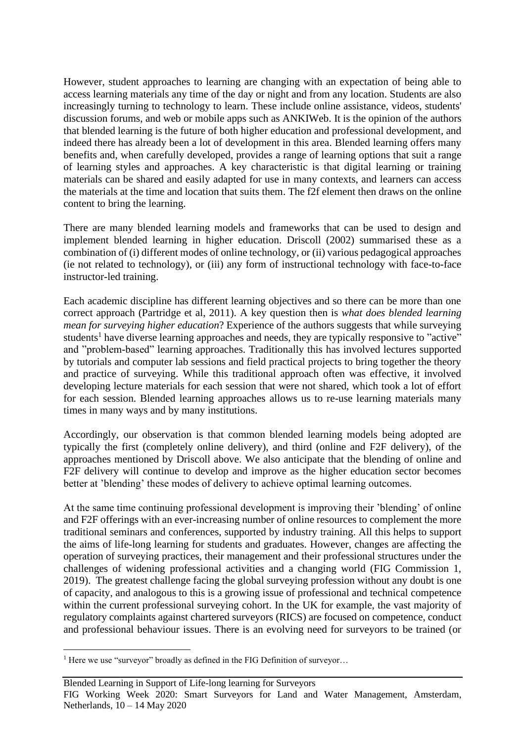However, student approaches to learning are changing with an expectation of being able to access learning materials any time of the day or night and from any location. Students are also increasingly turning to technology to learn. These include online assistance, videos, students' discussion forums, and web or mobile apps such as ANKIWeb. It is the opinion of the authors that blended learning is the future of both higher education and professional development, and indeed there has already been a lot of development in this area. Blended learning offers many benefits and, when carefully developed, provides a range of learning options that suit a range of learning styles and approaches. A key characteristic is that digital learning or training materials can be shared and easily adapted for use in many contexts, and learners can access the materials at the time and location that suits them. The f2f element then draws on the online content to bring the learning.

There are many blended learning models and frameworks that can be used to design and implement blended learning in higher education. Driscoll (2002) summarised these as a combination of (i) different modes of online technology, or (ii) various pedagogical approaches (ie not related to technology), or (iii) any form of instructional technology with face-to-face instructor-led training.

Each academic discipline has different learning objectives and so there can be more than one correct approach (Partridge et al, 2011). A key question then is *what does blended learning mean for surveying higher education*? Experience of the authors suggests that while surveying students<sup>1</sup> have diverse learning approaches and needs, they are typically responsive to "active" and "problem-based" learning approaches. Traditionally this has involved lectures supported by tutorials and computer lab sessions and field practical projects to bring together the theory and practice of surveying. While this traditional approach often was effective, it involved developing lecture materials for each session that were not shared, which took a lot of effort for each session. Blended learning approaches allows us to re-use learning materials many times in many ways and by many institutions.

Accordingly, our observation is that common blended learning models being adopted are typically the first (completely online delivery), and third (online and F2F delivery), of the approaches mentioned by Driscoll above. We also anticipate that the blending of online and F2F delivery will continue to develop and improve as the higher education sector becomes better at 'blending' these modes of delivery to achieve optimal learning outcomes.

At the same time continuing professional development is improving their 'blending' of online and F2F offerings with an ever-increasing number of online resources to complement the more traditional seminars and conferences, supported by industry training. All this helps to support the aims of life-long learning for students and graduates. However, changes are affecting the operation of surveying practices, their management and their professional structures under the challenges of widening professional activities and a changing world (FIG Commission 1, 2019). The greatest challenge facing the global surveying profession without any doubt is one of capacity, and analogous to this is a growing issue of professional and technical competence within the current professional surveying cohort. In the UK for example, the vast majority of regulatory complaints against chartered surveyors (RICS) are focused on competence, conduct and professional behaviour issues. There is an evolving need for surveyors to be trained (or

<sup>&</sup>lt;sup>1</sup> Here we use "surveyor" broadly as defined in the FIG Definition of surveyor...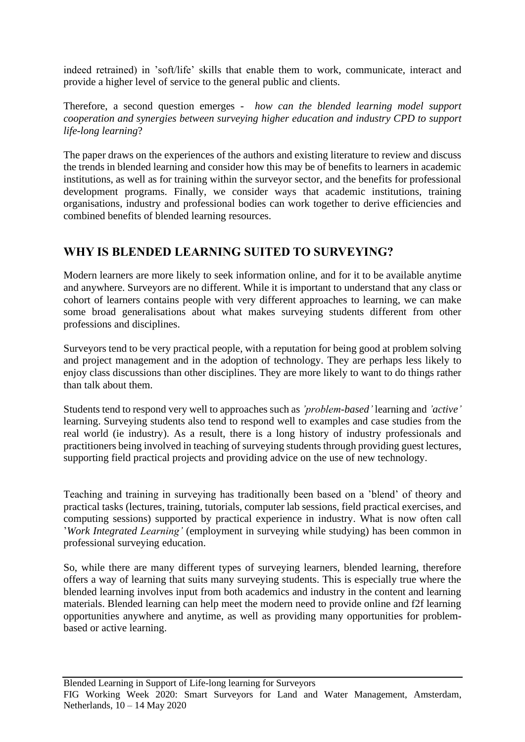indeed retrained) in 'soft/life' skills that enable them to work, communicate, interact and provide a higher level of service to the general public and clients.

Therefore, a second question emerges - *how can the blended learning model support cooperation and synergies between surveying higher education and industry CPD to support life-long learning*?

The paper draws on the experiences of the authors and existing literature to review and discuss the trends in blended learning and consider how this may be of benefits to learners in academic institutions, as well as for training within the surveyor sector, and the benefits for professional development programs. Finally, we consider ways that academic institutions, training organisations, industry and professional bodies can work together to derive efficiencies and combined benefits of blended learning resources.

# **WHY IS BLENDED LEARNING SUITED TO SURVEYING?**

Modern learners are more likely to seek information online, and for it to be available anytime and anywhere. Surveyors are no different. While it is important to understand that any class or cohort of learners contains people with very different approaches to learning, we can make some broad generalisations about what makes surveying students different from other professions and disciplines.

Surveyors tend to be very practical people, with a reputation for being good at problem solving and project management and in the adoption of technology. They are perhaps less likely to enjoy class discussions than other disciplines. They are more likely to want to do things rather than talk about them.

Students tend to respond very well to approaches such as *'problem-based'* learning and *'active'* learning. Surveying students also tend to respond well to examples and case studies from the real world (ie industry). As a result, there is a long history of industry professionals and practitioners being involved in teaching of surveying students through providing guest lectures, supporting field practical projects and providing advice on the use of new technology.

Teaching and training in surveying has traditionally been based on a 'blend' of theory and practical tasks (lectures, training, tutorials, computer lab sessions, field practical exercises, and computing sessions) supported by practical experience in industry. What is now often call '*Work Integrated Learning'* (employment in surveying while studying) has been common in professional surveying education.

So, while there are many different types of surveying learners, blended learning, therefore offers a way of learning that suits many surveying students. This is especially true where the blended learning involves input from both academics and industry in the content and learning materials. Blended learning can help meet the modern need to provide online and f2f learning opportunities anywhere and anytime, as well as providing many opportunities for problembased or active learning.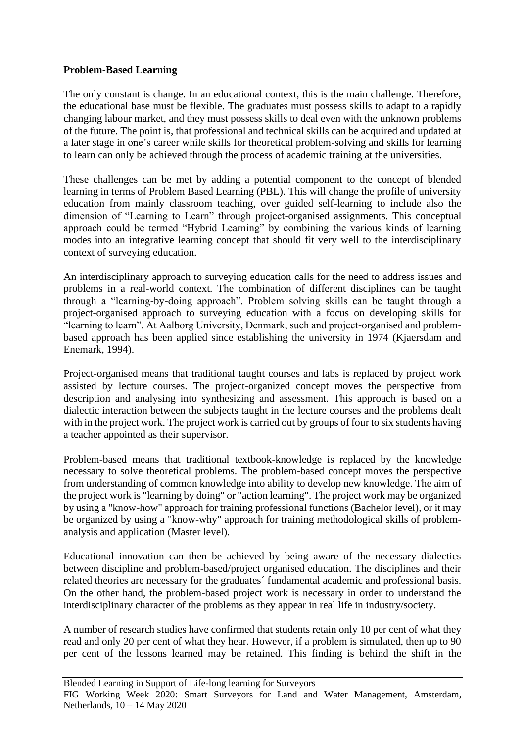### **Problem-Based Learning**

The only constant is change. In an educational context, this is the main challenge. Therefore, the educational base must be flexible. The graduates must possess skills to adapt to a rapidly changing labour market, and they must possess skills to deal even with the unknown problems of the future. The point is, that professional and technical skills can be acquired and updated at a later stage in one's career while skills for theoretical problem-solving and skills for learning to learn can only be achieved through the process of academic training at the universities.

These challenges can be met by adding a potential component to the concept of blended learning in terms of Problem Based Learning (PBL). This will change the profile of university education from mainly classroom teaching, over guided self-learning to include also the dimension of "Learning to Learn" through project-organised assignments. This conceptual approach could be termed "Hybrid Learning" by combining the various kinds of learning modes into an integrative learning concept that should fit very well to the interdisciplinary context of surveying education.

An interdisciplinary approach to surveying education calls for the need to address issues and problems in a real-world context. The combination of different disciplines can be taught through a "learning-by-doing approach". Problem solving skills can be taught through a project-organised approach to surveying education with a focus on developing skills for "learning to learn". At Aalborg University, Denmark, such and project-organised and problembased approach has been applied since establishing the university in 1974 (Kjaersdam and Enemark, 1994).

Project-organised means that traditional taught courses and labs is replaced by project work assisted by lecture courses. The project-organized concept moves the perspective from description and analysing into synthesizing and assessment. This approach is based on a dialectic interaction between the subjects taught in the lecture courses and the problems dealt with in the project work. The project work is carried out by groups of four to six students having a teacher appointed as their supervisor.

Problem-based means that traditional textbook-knowledge is replaced by the knowledge necessary to solve theoretical problems. The problem-based concept moves the perspective from understanding of common knowledge into ability to develop new knowledge. The aim of the project work is "learning by doing" or "action learning". The project work may be organized by using a "know-how" approach for training professional functions (Bachelor level), or it may be organized by using a "know-why" approach for training methodological skills of problemanalysis and application (Master level).

Educational innovation can then be achieved by being aware of the necessary dialectics between discipline and problem-based/project organised education. The disciplines and their related theories are necessary for the graduates´ fundamental academic and professional basis. On the other hand, the problem-based project work is necessary in order to understand the interdisciplinary character of the problems as they appear in real life in industry/society.

A number of research studies have confirmed that students retain only 10 per cent of what they read and only 20 per cent of what they hear. However, if a problem is simulated, then up to 90 per cent of the lessons learned may be retained. This finding is behind the shift in the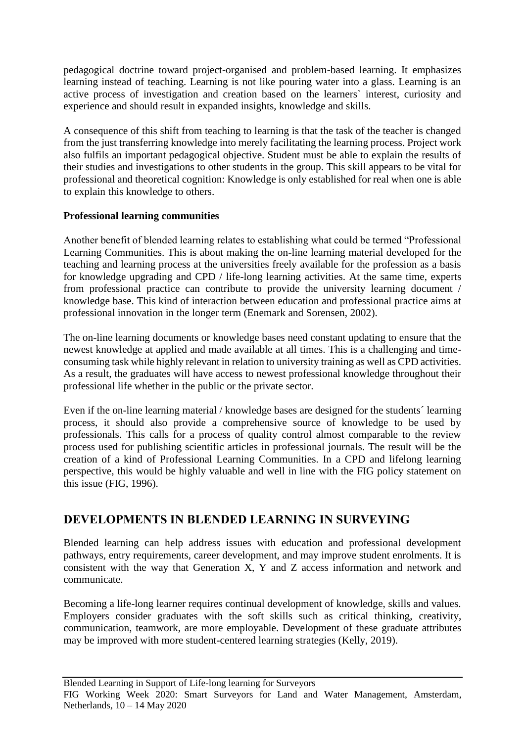pedagogical doctrine toward project-organised and problem-based learning. It emphasizes learning instead of teaching. Learning is not like pouring water into a glass. Learning is an active process of investigation and creation based on the learners` interest, curiosity and experience and should result in expanded insights, knowledge and skills.

A consequence of this shift from teaching to learning is that the task of the teacher is changed from the just transferring knowledge into merely facilitating the learning process. Project work also fulfils an important pedagogical objective. Student must be able to explain the results of their studies and investigations to other students in the group. This skill appears to be vital for professional and theoretical cognition: Knowledge is only established for real when one is able to explain this knowledge to others.

# **Professional learning communities**

Another benefit of blended learning relates to establishing what could be termed "Professional Learning Communities. This is about making the on-line learning material developed for the teaching and learning process at the universities freely available for the profession as a basis for knowledge upgrading and CPD / life-long learning activities. At the same time, experts from professional practice can contribute to provide the university learning document / knowledge base. This kind of interaction between education and professional practice aims at professional innovation in the longer term (Enemark and Sorensen, 2002).

The on-line learning documents or knowledge bases need constant updating to ensure that the newest knowledge at applied and made available at all times. This is a challenging and timeconsuming task while highly relevant in relation to university training as well as CPD activities. As a result, the graduates will have access to newest professional knowledge throughout their professional life whether in the public or the private sector.

Even if the on-line learning material / knowledge bases are designed for the students´ learning process, it should also provide a comprehensive source of knowledge to be used by professionals. This calls for a process of quality control almost comparable to the review process used for publishing scientific articles in professional journals. The result will be the creation of a kind of Professional Learning Communities. In a CPD and lifelong learning perspective, this would be highly valuable and well in line with the FIG policy statement on this issue (FIG, 1996).

# **DEVELOPMENTS IN BLENDED LEARNING IN SURVEYING**

Blended learning can help address issues with education and professional development pathways, entry requirements, career development, and may improve student enrolments. It is consistent with the way that Generation X, Y and Z access information and network and communicate.

Becoming a life-long learner requires continual development of knowledge, skills and values. Employers consider graduates with the soft skills such as critical thinking, creativity, communication, teamwork, are more employable. Development of these graduate attributes may be improved with more student-centered learning strategies (Kelly, 2019).

FIG Working Week 2020: Smart Surveyors for Land and Water Management, Amsterdam, Netherlands, 10 – 14 May 2020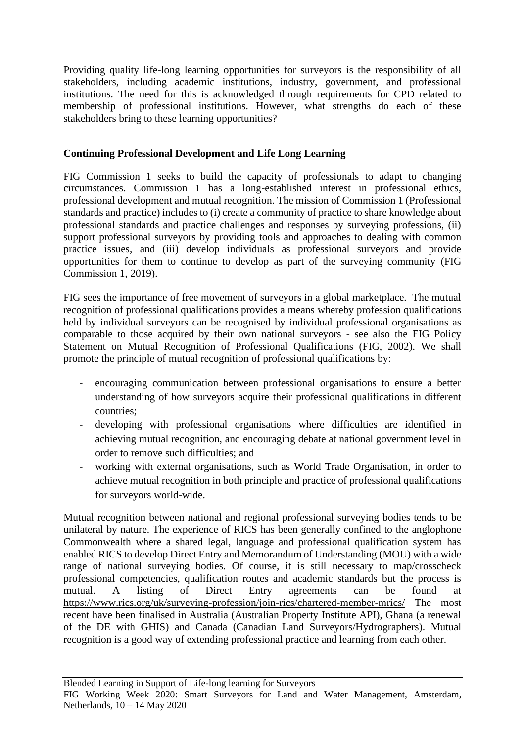Providing quality life-long learning opportunities for surveyors is the responsibility of all stakeholders, including academic institutions, industry, government, and professional institutions. The need for this is acknowledged through requirements for CPD related to membership of professional institutions. However, what strengths do each of these stakeholders bring to these learning opportunities?

# **Continuing Professional Development and Life Long Learning**

FIG Commission 1 seeks to build the capacity of professionals to adapt to changing circumstances. Commission 1 has a long-established interest in professional ethics, professional development and mutual recognition. The mission of Commission 1 (Professional standards and practice) includes to (i) create a community of practice to share knowledge about professional standards and practice challenges and responses by surveying professions, (ii) support professional surveyors by providing tools and approaches to dealing with common practice issues, and (iii) develop individuals as professional surveyors and provide opportunities for them to continue to develop as part of the surveying community (FIG Commission 1, 2019).

FIG sees the importance of free movement of surveyors in a global marketplace. The mutual recognition of professional qualifications provides a means whereby profession qualifications held by individual surveyors can be recognised by individual professional organisations as comparable to those acquired by their own national surveyors - see also the FIG Policy Statement on Mutual Recognition of Professional Qualifications (FIG, 2002). We shall promote the principle of mutual recognition of professional qualifications by:

- encouraging communication between professional organisations to ensure a better understanding of how surveyors acquire their professional qualifications in different countries;
- developing with professional organisations where difficulties are identified in achieving mutual recognition, and encouraging debate at national government level in order to remove such difficulties; and
- working with external organisations, such as World Trade Organisation, in order to achieve mutual recognition in both principle and practice of professional qualifications for surveyors world-wide.

Mutual recognition between national and regional professional surveying bodies tends to be unilateral by nature. The experience of RICS has been generally confined to the anglophone Commonwealth where a shared legal, language and professional qualification system has enabled RICS to develop Direct Entry and Memorandum of Understanding (MOU) with a wide range of national surveying bodies. Of course, it is still necessary to map/crosscheck professional competencies, qualification routes and academic standards but the process is mutual. A listing of Direct Entry agreements can be found at <https://www.rics.org/uk/surveying-profession/join-rics/chartered-member-mrics/> The most recent have been finalised in Australia (Australian Property Institute API), Ghana (a renewal of the DE with GHIS) and Canada (Canadian Land Surveyors/Hydrographers). Mutual recognition is a good way of extending professional practice and learning from each other.

FIG Working Week 2020: Smart Surveyors for Land and Water Management, Amsterdam, Netherlands, 10 – 14 May 2020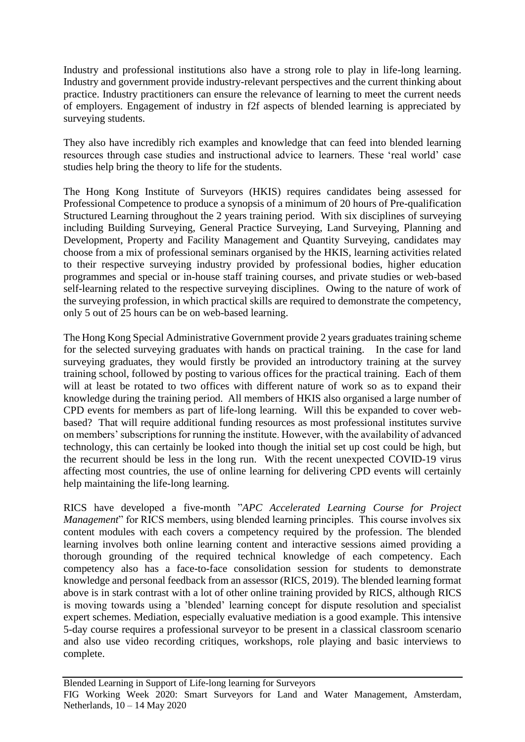Industry and professional institutions also have a strong role to play in life-long learning. Industry and government provide industry-relevant perspectives and the current thinking about practice. Industry practitioners can ensure the relevance of learning to meet the current needs of employers. Engagement of industry in f2f aspects of blended learning is appreciated by surveying students.

They also have incredibly rich examples and knowledge that can feed into blended learning resources through case studies and instructional advice to learners. These 'real world' case studies help bring the theory to life for the students.

The Hong Kong Institute of Surveyors (HKIS) requires candidates being assessed for Professional Competence to produce a synopsis of a minimum of 20 hours of Pre-qualification Structured Learning throughout the 2 years training period. With six disciplines of surveying including Building Surveying, General Practice Surveying, Land Surveying, Planning and Development, Property and Facility Management and Quantity Surveying, candidates may choose from a mix of professional seminars organised by the HKIS, learning activities related to their respective surveying industry provided by professional bodies, higher education programmes and special or in-house staff training courses, and private studies or web-based self-learning related to the respective surveying disciplines. Owing to the nature of work of the surveying profession, in which practical skills are required to demonstrate the competency, only 5 out of 25 hours can be on web-based learning.

The Hong Kong Special Administrative Government provide 2 years graduates training scheme for the selected surveying graduates with hands on practical training. In the case for land surveying graduates, they would firstly be provided an introductory training at the survey training school, followed by posting to various offices for the practical training. Each of them will at least be rotated to two offices with different nature of work so as to expand their knowledge during the training period. All members of HKIS also organised a large number of CPD events for members as part of life-long learning. Will this be expanded to cover webbased? That will require additional funding resources as most professional institutes survive on members' subscriptions for running the institute. However, with the availability of advanced technology, this can certainly be looked into though the initial set up cost could be high, but the recurrent should be less in the long run. With the recent unexpected COVID-19 virus affecting most countries, the use of online learning for delivering CPD events will certainly help maintaining the life-long learning.

RICS have developed a five-month "*APC Accelerated Learning Course for Project Management*" for RICS members, using blended learning principles. This course involves six content modules with each covers a competency required by the profession. The blended learning involves both online learning content and interactive sessions aimed providing a thorough grounding of the required technical knowledge of each competency. Each competency also has a face-to-face consolidation session for students to demonstrate knowledge and personal feedback from an assessor (RICS, 2019). The blended learning format above is in stark contrast with a lot of other online training provided by RICS, although RICS is moving towards using a 'blended' learning concept for dispute resolution and specialist expert schemes. Mediation, especially evaluative mediation is a good example. This intensive 5-day course requires a professional surveyor to be present in a classical classroom scenario and also use video recording critiques, workshops, role playing and basic interviews to complete.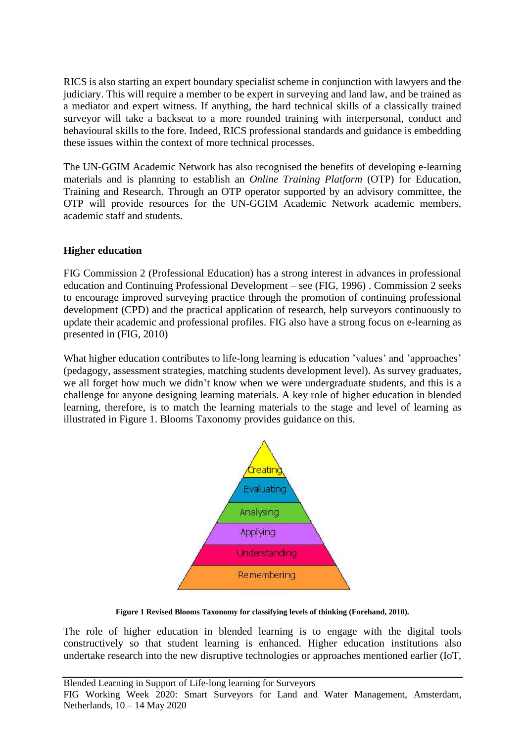RICS is also starting an expert boundary specialist scheme in conjunction with lawyers and the judiciary. This will require a member to be expert in surveying and land law, and be trained as a mediator and expert witness. If anything, the hard technical skills of a classically trained surveyor will take a backseat to a more rounded training with interpersonal, conduct and behavioural skills to the fore. Indeed, RICS professional standards and guidance is embedding these issues within the context of more technical processes.

The UN-GGIM Academic Network has also recognised the benefits of developing e-learning materials and is planning to establish an *Online Training Platform* (OTP) for Education, Training and Research. Through an OTP operator supported by an advisory committee, the OTP will provide resources for the UN-GGIM Academic Network academic members, academic staff and students.

# **Higher education**

FIG Commission 2 (Professional Education) has a strong interest in advances in professional education and Continuing Professional Development – see (FIG, 1996) . Commission 2 seeks to encourage improved surveying practice through the promotion of continuing professional development (CPD) and the practical application of research, help surveyors continuously to update their academic and professional profiles. FIG also have a strong focus on e-learning as presented in (FIG, 2010)

What higher education contributes to life-long learning is education 'values' and 'approaches' (pedagogy, assessment strategies, matching students development level). As survey graduates, we all forget how much we didn't know when we were undergraduate students, and this is a challenge for anyone designing learning materials. A key role of higher education in blended learning, therefore, is to match the learning materials to the stage and level of learning as illustrated in Figure 1. Blooms Taxonomy provides guidance on this.



**Figure 1 Revised Blooms Taxonomy for classifying levels of thinking (Forehand, 2010).**

The role of higher education in blended learning is to engage with the digital tools constructively so that student learning is enhanced. Higher education institutions also undertake research into the new disruptive technologies or approaches mentioned earlier (IoT,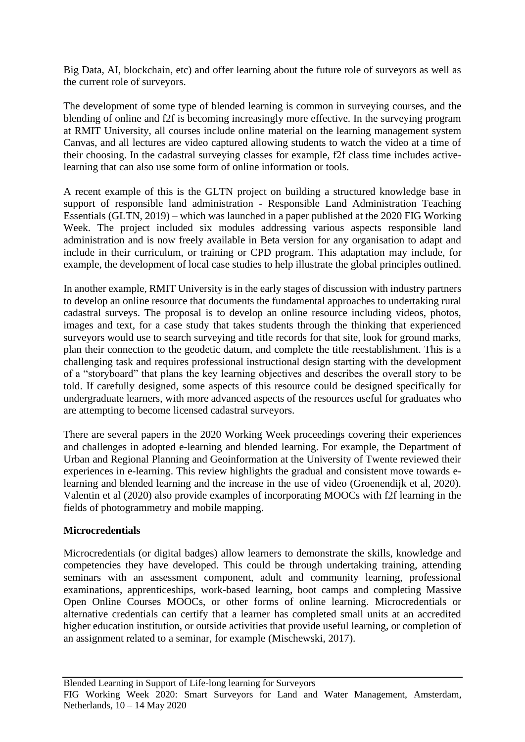Big Data, AI, blockchain, etc) and offer learning about the future role of surveyors as well as the current role of surveyors.

The development of some type of blended learning is common in surveying courses, and the blending of online and f2f is becoming increasingly more effective. In the surveying program at RMIT University, all courses include online material on the learning management system Canvas, and all lectures are video captured allowing students to watch the video at a time of their choosing. In the cadastral surveying classes for example, f2f class time includes activelearning that can also use some form of online information or tools.

A recent example of this is the GLTN project on building a structured knowledge base in support of responsible land administration - Responsible Land Administration Teaching Essentials (GLTN, 2019) – which was launched in a paper published at the 2020 FIG Working Week. The project included six modules addressing various aspects responsible land administration and is now freely available in Beta version for any organisation to adapt and include in their curriculum, or training or CPD program. This adaptation may include, for example, the development of local case studies to help illustrate the global principles outlined.

In another example, RMIT University is in the early stages of discussion with industry partners to develop an online resource that documents the fundamental approaches to undertaking rural cadastral surveys. The proposal is to develop an online resource including videos, photos, images and text, for a case study that takes students through the thinking that experienced surveyors would use to search surveying and title records for that site, look for ground marks, plan their connection to the geodetic datum, and complete the title reestablishment. This is a challenging task and requires professional instructional design starting with the development of a "storyboard" that plans the key learning objectives and describes the overall story to be told. If carefully designed, some aspects of this resource could be designed specifically for undergraduate learners, with more advanced aspects of the resources useful for graduates who are attempting to become licensed cadastral surveyors.

There are several papers in the 2020 Working Week proceedings covering their experiences and challenges in adopted e-learning and blended learning. For example, the Department of Urban and Regional Planning and Geoinformation at the University of Twente reviewed their experiences in e-learning. This review highlights the gradual and consistent move towards elearning and blended learning and the increase in the use of video (Groenendijk et al, 2020). Valentin et al (2020) also provide examples of incorporating MOOCs with f2f learning in the fields of photogrammetry and mobile mapping.

### **Microcredentials**

Microcredentials (or digital badges) allow learners to demonstrate the skills, knowledge and competencies they have developed. This could be through undertaking training, attending seminars with an assessment component, adult and community learning, professional examinations, apprenticeships, work-based learning, boot camps and completing Massive Open Online Courses MOOCs, or other forms of online learning. Microcredentials or alternative credentials can certify that a learner has completed small units at an accredited higher education institution, or outside activities that provide useful learning, or completion of an assignment related to a seminar, for example (Mischewski, 2017).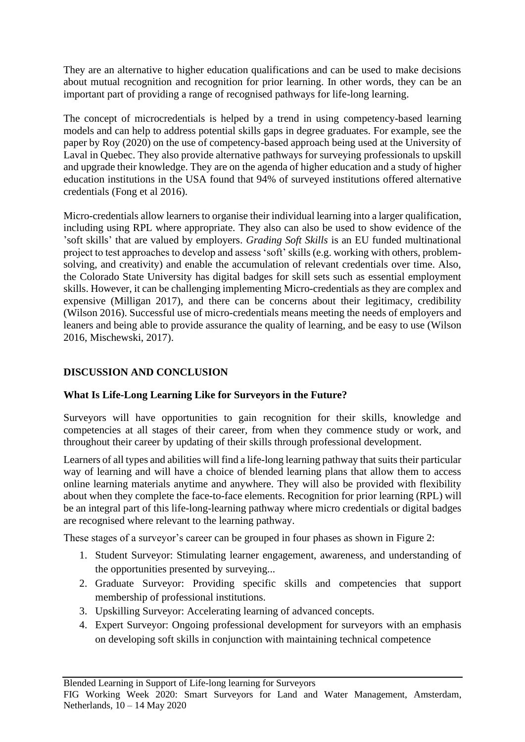They are an alternative to higher education qualifications and can be used to make decisions about mutual recognition and recognition for prior learning. In other words, they can be an important part of providing a range of recognised pathways for life-long learning.

The concept of microcredentials is helped by a trend in using competency-based learning models and can help to address potential skills gaps in degree graduates. For example, see the paper by Roy (2020) on the use of competency-based approach being used at the University of Laval in Quebec. They also provide alternative pathways for surveying professionals to upskill and upgrade their knowledge. They are on the agenda of higher education and a study of higher education institutions in the USA found that 94% of surveyed institutions offered alternative credentials (Fong et al 2016).

Micro-credentials allow learners to organise their individual learning into a larger qualification, including using RPL where appropriate. They also can also be used to show evidence of the 'soft skills' that are valued by employers. *Grading Soft Skills* is an EU funded multinational project to test approaches to develop and assess 'soft' skills (e.g. working with others, problemsolving, and creativity) and enable the accumulation of relevant credentials over time. Also, the Colorado State University has digital badges for skill sets such as essential employment skills. However, it can be challenging implementing Micro-credentials as they are complex and expensive (Milligan 2017), and there can be concerns about their legitimacy, credibility (Wilson 2016). Successful use of micro-credentials means meeting the needs of employers and leaners and being able to provide assurance the quality of learning, and be easy to use (Wilson 2016, Mischewski, 2017).

# **DISCUSSION AND CONCLUSION**

# **What Is Life-Long Learning Like for Surveyors in the Future?**

Surveyors will have opportunities to gain recognition for their skills, knowledge and competencies at all stages of their career, from when they commence study or work, and throughout their career by updating of their skills through professional development.

Learners of all types and abilities will find a life-long learning pathway that suits their particular way of learning and will have a choice of blended learning plans that allow them to access online learning materials anytime and anywhere. They will also be provided with flexibility about when they complete the face-to-face elements. Recognition for prior learning (RPL) will be an integral part of this life-long-learning pathway where micro credentials or digital badges are recognised where relevant to the learning pathway.

These stages of a surveyor's career can be grouped in four phases as shown in Figure 2:

- 1. Student Surveyor: Stimulating learner engagement, awareness, and understanding of the opportunities presented by surveying...
- 2. Graduate Surveyor: Providing specific skills and competencies that support membership of professional institutions.
- 3. Upskilling Surveyor: Accelerating learning of advanced concepts.
- 4. Expert Surveyor: Ongoing professional development for surveyors with an emphasis on developing soft skills in conjunction with maintaining technical competence

Blended Learning in Support of Life-long learning for Surveyors

FIG Working Week 2020: Smart Surveyors for Land and Water Management, Amsterdam, Netherlands, 10 – 14 May 2020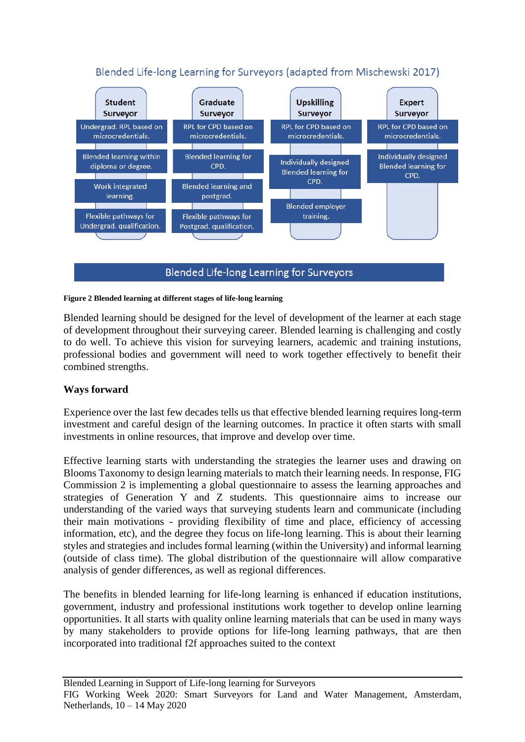# Blended Life-long Learning for Surveyors (adapted from Mischewski 2017)



### Blended Life-long Learning for Surveyors

#### **Figure 2 Blended learning at different stages of life-long learning**

Blended learning should be designed for the level of development of the learner at each stage of development throughout their surveying career. Blended learning is challenging and costly to do well. To achieve this vision for surveying learners, academic and training instutions, professional bodies and government will need to work together effectively to benefit their combined strengths.

### **Ways forward**

Experience over the last few decades tells us that effective blended learning requires long-term investment and careful design of the learning outcomes. In practice it often starts with small investments in online resources, that improve and develop over time.

Effective learning starts with understanding the strategies the learner uses and drawing on Blooms Taxonomy to design learning materials to match their learning needs. In response, FIG Commission 2 is implementing a global questionnaire to assess the learning approaches and strategies of Generation Y and Z students. This questionnaire aims to increase our understanding of the varied ways that surveying students learn and communicate (including their main motivations - providing flexibility of time and place, efficiency of accessing information, etc), and the degree they focus on life-long learning. This is about their learning styles and strategies and includes formal learning (within the University) and informal learning (outside of class time). The global distribution of the questionnaire will allow comparative analysis of gender differences, as well as regional differences.

The benefits in blended learning for life-long learning is enhanced if education institutions, government, industry and professional institutions work together to develop online learning opportunities. It all starts with quality online learning materials that can be used in many ways by many stakeholders to provide options for life-long learning pathways, that are then incorporated into traditional f2f approaches suited to the context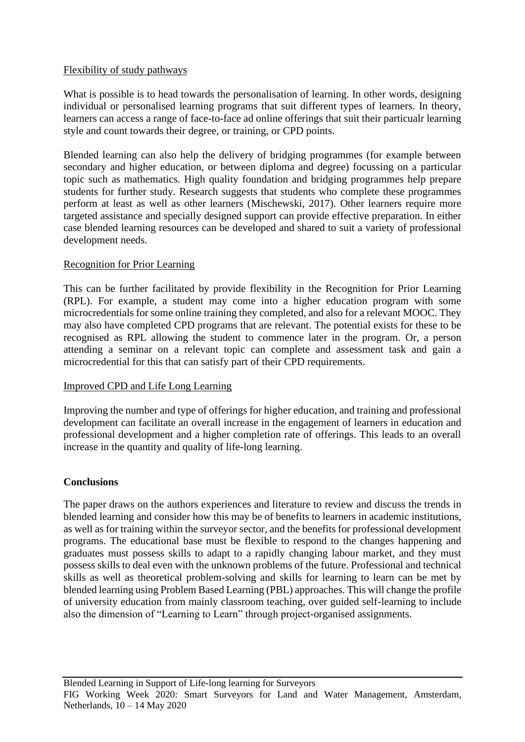### Flexibility of study pathways

What is possible is to head towards the personalisation of learning. In other words, designing individual or personalised learning programs that suit different types of learners. In theory, learners can access a range of face-to-face ad online offerings that suit their particualr learning style and count towards their degree, or training, or CPD points.

Blended learning can also help the delivery of bridging programmes (for example between secondary and higher education, or between diploma and degree) focussing on a particular topic such as mathematics. High quality foundation and bridging programmes help prepare students for further study. Research suggests that students who complete these programmes perform at least as well as other learners (Mischewski, 2017). Other learners require more targeted assistance and specially designed support can provide effective preparation. In either case blended learning resources can be developed and shared to suit a variety of professional development needs.

### Recognition for Prior Learning

This can be further facilitated by provide flexibility in the Recognition for Prior Learning (RPL). For example, a student may come into a higher education program with some microcredentials for some online training they completed, and also for a relevant MOOC. They may also have completed CPD programs that are relevant. The potential exists for these to be recognised as RPL allowing the student to commence later in the program. Or, a person attending a seminar on a relevant topic can complete and assessment task and gain a microcredential for this that can satisfy part of their CPD requirements.

### Improved CPD and Life Long Learning

Improving the number and type of offerings for higher education, and training and professional development can facilitate an overall increase in the engagement of learners in education and professional development and a higher completion rate of offerings. This leads to an overall increase in the quantity and quality of life-long learning.

### **Conclusions**

The paper draws on the authors experiences and literature to review and discuss the trends in blended learning and consider how this may be of benefits to learners in academic institutions, as well as for training within the surveyor sector, and the benefits for professional development programs. The educational base must be flexible to respond to the changes happening and graduates must possess skills to adapt to a rapidly changing labour market, and they must possess skills to deal even with the unknown problems of the future. Professional and technical skills as well as theoretical problem-solving and skills for learning to learn can be met by blended learning using Problem Based Learning (PBL) approaches. This will change the profile of university education from mainly classroom teaching, over guided self-learning to include also the dimension of "Learning to Learn" through project-organised assignments.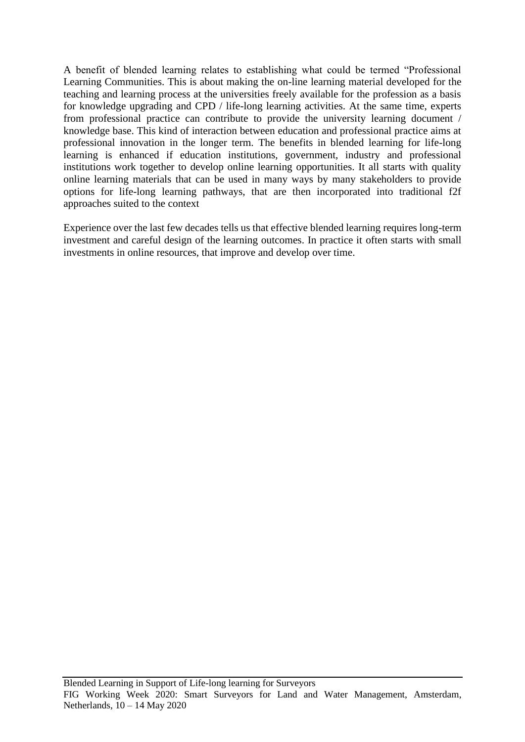A benefit of blended learning relates to establishing what could be termed "Professional Learning Communities. This is about making the on-line learning material developed for the teaching and learning process at the universities freely available for the profession as a basis for knowledge upgrading and CPD / life-long learning activities. At the same time, experts from professional practice can contribute to provide the university learning document / knowledge base. This kind of interaction between education and professional practice aims at professional innovation in the longer term. The benefits in blended learning for life-long learning is enhanced if education institutions, government, industry and professional institutions work together to develop online learning opportunities. It all starts with quality online learning materials that can be used in many ways by many stakeholders to provide options for life-long learning pathways, that are then incorporated into traditional f2f approaches suited to the context

Experience over the last few decades tells us that effective blended learning requires long-term investment and careful design of the learning outcomes. In practice it often starts with small investments in online resources, that improve and develop over time.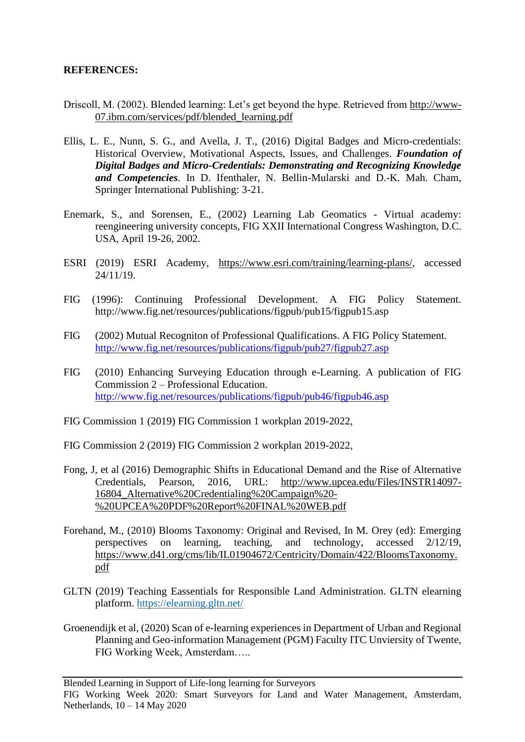### **REFERENCES:**

- Driscoll, M. (2002). Blended learning: Let's get beyond the hype. Retrieved from [http://www-](http://www-07.ibm.com/services/pdf/blended_learning.pdf)[07.ibm.com/services/pdf/blended\\_learning.pdf](http://www-07.ibm.com/services/pdf/blended_learning.pdf)
- Ellis, L. E., Nunn, S. G., and Avella, J. T., (2016) Digital Badges and Micro-credentials: Historical Overview, Motivational Aspects, Issues, and Challenges. *Foundation of Digital Badges and Micro-Credentials: Demonstrating and Recognizing Knowledge and Competencies*. In D. Ifenthaler, N. Bellin-Mularski and D.-K. Mah. Cham, Springer International Publishing: 3-21.
- Enemark, S., and Sorensen, E., (2002) Learning Lab Geomatics Virtual academy: reengineering university concepts, FIG XXII International Congress Washington, D.C. USA, April 19-26, 2002.
- ESRI (2019) ESRI Academy, [https://www.esri.com/training/learning-plans/,](https://www.esri.com/training/learning-plans/) accessed 24/11/19.
- FIG (1996): Continuing Professional Development. A FIG Policy Statement. http://www.fig.net/resources/publications/figpub/pub15/figpub15.asp
- FIG (2002) Mutual Recogniton of Professional Qualifications. A FIG Policy Statement. <http://www.fig.net/resources/publications/figpub/pub27/figpub27.asp>
- FIG (2010) Enhancing Surveying Education through e-Learning. A publication of FIG Commission 2 – Professional Education. <http://www.fig.net/resources/publications/figpub/pub46/figpub46.asp>
- FIG Commission 1 (2019) FIG Commission 1 workplan 2019-2022,

FIG Commission 2 (2019) FIG Commission 2 workplan 2019-2022,

- Fong, J, et al (2016) Demographic Shifts in Educational Demand and the Rise of Alternative Credentials, Pearson, 2016, URL: [http://www.upcea.edu/Files/INSTR14097-](http://www.upcea.edu/Files/INSTR14097-16804_Alternative%20Credentialing%20Campaign%20-%20UPCEA%20PDF%20Report%20FINAL%20WEB.pdf) [16804\\_Alternative%20Credentialing%20Campaign%20-](http://www.upcea.edu/Files/INSTR14097-16804_Alternative%20Credentialing%20Campaign%20-%20UPCEA%20PDF%20Report%20FINAL%20WEB.pdf) [%20UPCEA%20PDF%20Report%20FINAL%20WEB.pdf](http://www.upcea.edu/Files/INSTR14097-16804_Alternative%20Credentialing%20Campaign%20-%20UPCEA%20PDF%20Report%20FINAL%20WEB.pdf)
- Forehand, M., (2010) Blooms Taxonomy: Original and Revised, In M. Orey (ed): Emerging perspectives on learning, teaching, and technology, accessed 2/12/19, [https://www.d41.org/cms/lib/IL01904672/Centricity/Domain/422/BloomsTaxonomy.](https://www.d41.org/cms/lib/IL01904672/Centricity/Domain/422/BloomsTaxonomy.pdf) [pdf](https://www.d41.org/cms/lib/IL01904672/Centricity/Domain/422/BloomsTaxonomy.pdf)
- GLTN (2019) Teaching Eassentials for Responsible Land Administration. GLTN elearning platform.<https://elearning.gltn.net/>
- Groenendijk et al, (2020) Scan of e-learning experiences in Department of Urban and Regional Planning and Geo-information Management (PGM) Faculty ITC Unviersity of Twente, FIG Working Week, Amsterdam…..

Blended Learning in Support of Life-long learning for Surveyors

FIG Working Week 2020: Smart Surveyors for Land and Water Management, Amsterdam, Netherlands, 10 – 14 May 2020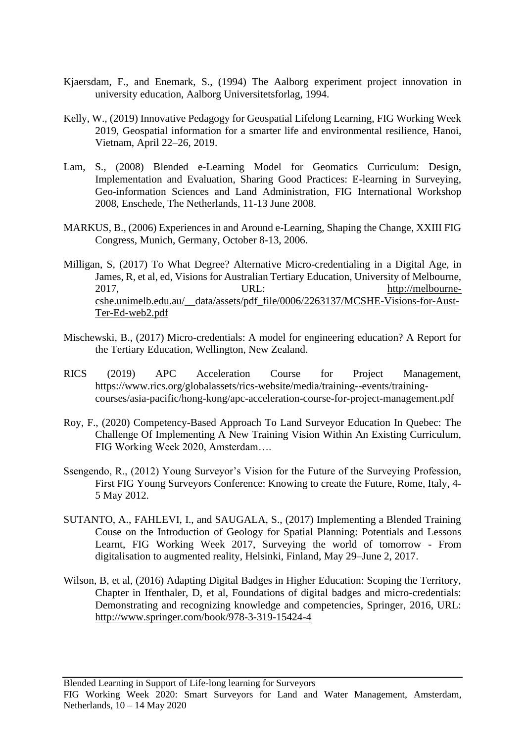- Kjaersdam, F., and Enemark, S., (1994) The Aalborg experiment project innovation in university education, Aalborg Universitetsforlag, 1994.
- Kelly, W., (2019) Innovative Pedagogy for Geospatial Lifelong Learning, FIG Working Week 2019, Geospatial information for a smarter life and environmental resilience, Hanoi, Vietnam, April 22–26, 2019.
- Lam, S., (2008) Blended e-Learning Model for Geomatics Curriculum: Design, Implementation and Evaluation, Sharing Good Practices: E-learning in Surveying, Geo-information Sciences and Land Administration, FIG International Workshop 2008, Enschede, The Netherlands, 11-13 June 2008.
- MARKUS, B., (2006) Experiences in and Around e-Learning, Shaping the Change, XXIII FIG Congress, Munich, Germany, October 8-13, 2006.
- Milligan, S, (2017) To What Degree? Alternative Micro-credentialing in a Digital Age, in James, R, et al, ed, Visions for Australian Tertiary Education, University of Melbourne, 2017, URL: [http://melbourne](http://melbourne-cshe.unimelb.edu.au/__data/assets/pdf_file/0006/2263137/MCSHE-Visions-for-Aust-Ter-Ed-web2.pdf)[cshe.unimelb.edu.au/\\_\\_data/assets/pdf\\_file/0006/2263137/MCSHE-Visions-for-Aust-](http://melbourne-cshe.unimelb.edu.au/__data/assets/pdf_file/0006/2263137/MCSHE-Visions-for-Aust-Ter-Ed-web2.pdf)[Ter-Ed-web2.pdf](http://melbourne-cshe.unimelb.edu.au/__data/assets/pdf_file/0006/2263137/MCSHE-Visions-for-Aust-Ter-Ed-web2.pdf)
- Mischewski, B., (2017) Micro-credentials: A model for engineering education? A Report for the Tertiary Education, Wellington, New Zealand.
- RICS (2019) APC Acceleration Course for Project Management, https://www.rics.org/globalassets/rics-website/media/training--events/trainingcourses/asia-pacific/hong-kong/apc-acceleration-course-for-project-management.pdf
- Roy, F., (2020) Competency-Based Approach To Land Surveyor Education In Quebec: The Challenge Of Implementing A New Training Vision Within An Existing Curriculum, FIG Working Week 2020, Amsterdam….
- Ssengendo, R., (2012) Young Surveyor's Vision for the Future of the Surveying Profession, First FIG Young Surveyors Conference: Knowing to create the Future, Rome, Italy, 4- 5 May 2012.
- SUTANTO, A., FAHLEVI, I., and SAUGALA, S., (2017) Implementing a Blended Training Couse on the Introduction of Geology for Spatial Planning: Potentials and Lessons Learnt, FIG Working Week 2017, Surveying the world of tomorrow - From digitalisation to augmented reality, Helsinki, Finland, May 29–June 2, 2017.
- Wilson, B, et al, (2016) Adapting Digital Badges in Higher Education: Scoping the Territory, Chapter in Ifenthaler, D, et al, Foundations of digital badges and micro-credentials: Demonstrating and recognizing knowledge and competencies, Springer, 2016, URL: <http://www.springer.com/book/978-3-319-15424-4>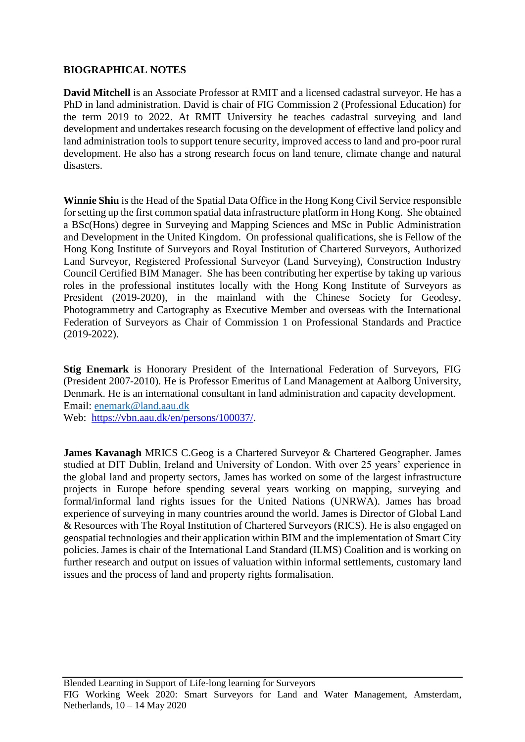### **BIOGRAPHICAL NOTES**

**David Mitchell** is an Associate Professor at RMIT and a licensed cadastral surveyor. He has a PhD in land administration. David is chair of FIG Commission 2 (Professional Education) for the term 2019 to 2022. At RMIT University he teaches cadastral surveying and land development and undertakes research focusing on the development of effective land policy and land administration tools to support tenure security, improved access to land and pro-poor rural development. He also has a strong research focus on land tenure, climate change and natural disasters.

**Winnie Shiu** is the Head of the Spatial Data Office in the Hong Kong Civil Service responsible for setting up the first common spatial data infrastructure platform in Hong Kong. She obtained a BSc(Hons) degree in Surveying and Mapping Sciences and MSc in Public Administration and Development in the United Kingdom. On professional qualifications, she is Fellow of the Hong Kong Institute of Surveyors and Royal Institution of Chartered Surveyors, Authorized Land Surveyor, Registered Professional Surveyor (Land Surveying), Construction Industry Council Certified BIM Manager. She has been contributing her expertise by taking up various roles in the professional institutes locally with the Hong Kong Institute of Surveyors as President (2019-2020), in the mainland with the Chinese Society for Geodesy, Photogrammetry and Cartography as Executive Member and overseas with the International Federation of Surveyors as Chair of Commission 1 on Professional Standards and Practice (2019-2022).

**Stig Enemark** is Honorary President of the International Federation of Surveyors, FIG (President 2007-2010). He is Professor Emeritus of Land Management at Aalborg University, Denmark. He is an international consultant in land administration and capacity development. Email: [enemark@land.aau.dk](mailto:enemark@land.aau.dk)

Web: [https://vbn.aau.dk/en/persons/100037/.](https://vbn.aau.dk/en/persons/100037/)

**James Kavanagh** MRICS C.Geog is a Chartered Surveyor & Chartered Geographer. James studied at DIT Dublin, Ireland and University of London. With over 25 years' experience in the global land and property sectors, James has worked on some of the largest infrastructure projects in Europe before spending several years working on mapping, surveying and formal/informal land rights issues for the United Nations (UNRWA). James has broad experience of surveying in many countries around the world. James is Director of Global Land & Resources with The Royal Institution of Chartered Surveyors (RICS). He is also engaged on geospatial technologies and their application within BIM and the implementation of Smart City policies. James is chair of the International Land Standard (ILMS) Coalition and is working on further research and output on issues of valuation within informal settlements, customary land issues and the process of land and property rights formalisation.